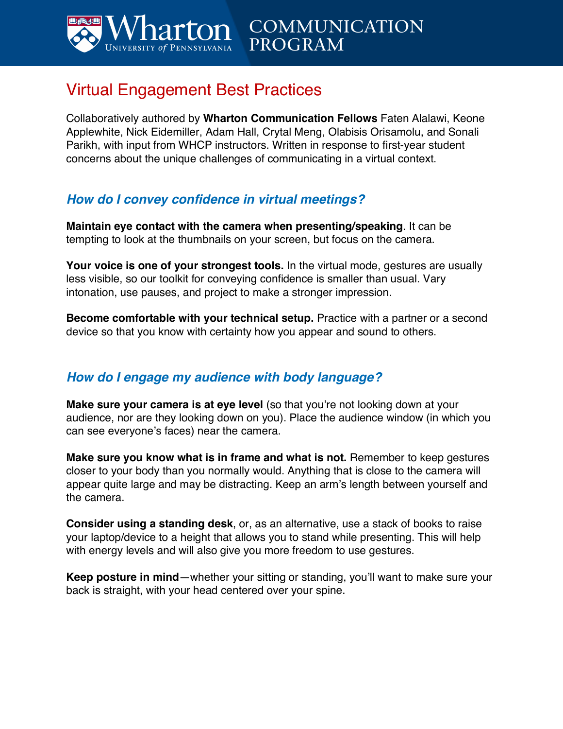

# Virtual Engagement Best Practices

Collaboratively authored by **Wharton Communication Fellows** Faten Alalawi, Keone Applewhite, Nick Eidemiller, Adam Hall, Crytal Meng, Olabisis Orisamolu, and Sonali Parikh, with input from WHCP instructors. Written in response to first-year student concerns about the unique challenges of communicating in a virtual context.

**PROGRAM** 

**COMMUNICATION** 

### *How do I convey confidence in virtual meetings?*

**Maintain eye contact with the camera when presenting/speaking**. It can be tempting to look at the thumbnails on your screen, but focus on the camera.

**Your voice is one of your strongest tools.** In the virtual mode, gestures are usually less visible, so our toolkit for conveying confidence is smaller than usual. Vary intonation, use pauses, and project to make a stronger impression.

**Become comfortable with your technical setup.** Practice with a partner or a second device so that you know with certainty how you appear and sound to others.

#### *How do I engage my audience with body language?*

**Make sure your camera is at eye level** (so that you're not looking down at your audience, nor are they looking down on you). Place the audience window (in which you can see everyone's faces) near the camera.

**Make sure you know what is in frame and what is not.** Remember to keep gestures closer to your body than you normally would. Anything that is close to the camera will appear quite large and may be distracting. Keep an arm's length between yourself and the camera.

**Consider using a standing desk**, or, as an alternative, use a stack of books to raise your laptop/device to a height that allows you to stand while presenting. This will help with energy levels and will also give you more freedom to use gestures.

**Keep posture in mind**—whether your sitting or standing, you'll want to make sure your back is straight, with your head centered over your spine.